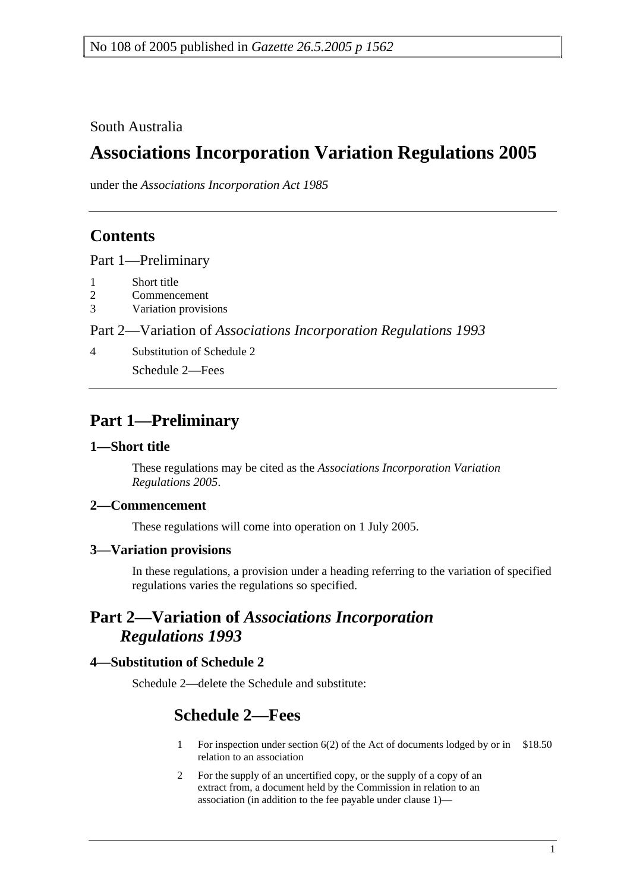South Australia

# **Associations Incorporation Variation Regulations 2005**

under the *Associations Incorporation Act 1985*

## **Contents**

Part 1—Preliminary

- 1 Short title
- 2 Commencement
- 3 Variation provisions

Part 2—Variation of *Associations Incorporation Regulations 1993*

4 Substitution of Schedule 2

Schedule 2—Fees

# **Part 1—Preliminary**

## **1—Short title**

These regulations may be cited as the *Associations Incorporation Variation Regulations 2005*.

## **2—Commencement**

These regulations will come into operation on 1 July 2005.

## **3—Variation provisions**

In these regulations, a provision under a heading referring to the variation of specified regulations varies the regulations so specified.

## **Part 2—Variation of** *Associations Incorporation Regulations 1993*

## **4—Substitution of Schedule 2**

Schedule 2—delete the Schedule and substitute:

# **Schedule 2—Fees**

- 1 For inspection under section 6(2) of the Act of documents lodged by or in \$18.50 relation to an association
- 2 For the supply of an uncertified copy, or the supply of a copy of an extract from, a document held by the Commission in relation to an association (in addition to the fee payable under clause 1)—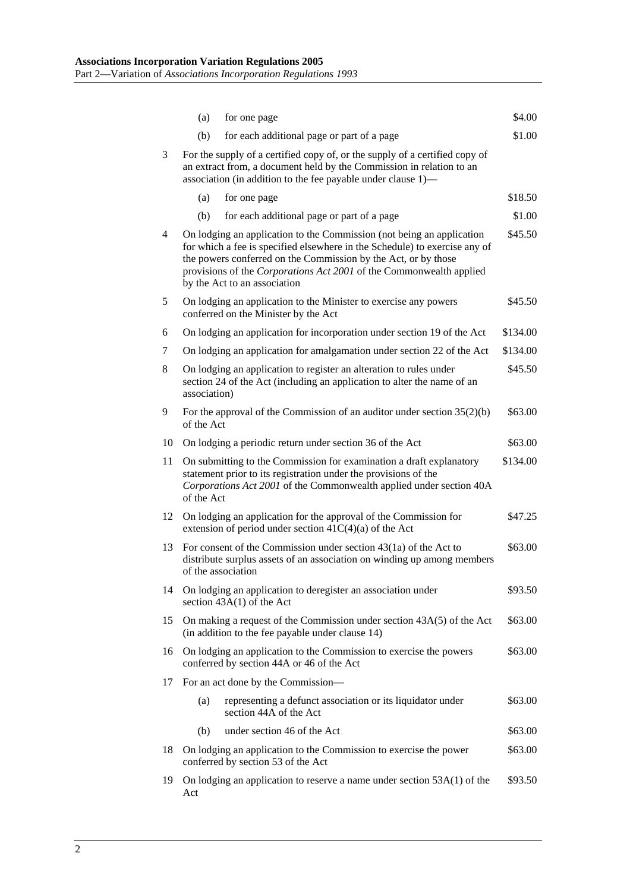|    | (a)                                                                                                                                                                                                                                                                                                                                     | for one page                                                                                                                                                                                                  | \$4.00   |
|----|-----------------------------------------------------------------------------------------------------------------------------------------------------------------------------------------------------------------------------------------------------------------------------------------------------------------------------------------|---------------------------------------------------------------------------------------------------------------------------------------------------------------------------------------------------------------|----------|
|    | (b)                                                                                                                                                                                                                                                                                                                                     | for each additional page or part of a page                                                                                                                                                                    | \$1.00   |
| 3  | For the supply of a certified copy of, or the supply of a certified copy of<br>an extract from, a document held by the Commission in relation to an<br>association (in addition to the fee payable under clause 1)—                                                                                                                     |                                                                                                                                                                                                               |          |
|    | (a)                                                                                                                                                                                                                                                                                                                                     | for one page                                                                                                                                                                                                  | \$18.50  |
|    | (b)                                                                                                                                                                                                                                                                                                                                     | for each additional page or part of a page                                                                                                                                                                    | \$1.00   |
| 4  | On lodging an application to the Commission (not being an application<br>\$45.50<br>for which a fee is specified elsewhere in the Schedule) to exercise any of<br>the powers conferred on the Commission by the Act, or by those<br>provisions of the Corporations Act 2001 of the Commonwealth applied<br>by the Act to an association |                                                                                                                                                                                                               |          |
| 5  | On lodging an application to the Minister to exercise any powers<br>\$45.50<br>conferred on the Minister by the Act                                                                                                                                                                                                                     |                                                                                                                                                                                                               |          |
| 6  |                                                                                                                                                                                                                                                                                                                                         | On lodging an application for incorporation under section 19 of the Act                                                                                                                                       | \$134.00 |
| 7  |                                                                                                                                                                                                                                                                                                                                         | On lodging an application for amalgamation under section 22 of the Act                                                                                                                                        | \$134.00 |
| 8  | On lodging an application to register an alteration to rules under<br>\$45.50<br>section 24 of the Act (including an application to alter the name of an<br>association)                                                                                                                                                                |                                                                                                                                                                                                               |          |
| 9  | of the Act                                                                                                                                                                                                                                                                                                                              | For the approval of the Commission of an auditor under section $35(2)(b)$                                                                                                                                     | \$63.00  |
| 10 |                                                                                                                                                                                                                                                                                                                                         | On lodging a periodic return under section 36 of the Act                                                                                                                                                      | \$63.00  |
| 11 | of the Act                                                                                                                                                                                                                                                                                                                              | On submitting to the Commission for examination a draft explanatory<br>statement prior to its registration under the provisions of the<br>Corporations Act 2001 of the Commonwealth applied under section 40A | \$134.00 |
| 12 |                                                                                                                                                                                                                                                                                                                                         | On lodging an application for the approval of the Commission for<br>extension of period under section $41C(4)(a)$ of the Act                                                                                  | \$47.25  |
| 13 | For consent of the Commission under section $43(1a)$ of the Act to<br>\$63.00<br>distribute surplus assets of an association on winding up among members<br>of the association                                                                                                                                                          |                                                                                                                                                                                                               |          |
| 14 |                                                                                                                                                                                                                                                                                                                                         | On lodging an application to deregister an association under<br>section $43A(1)$ of the Act                                                                                                                   | \$93.50  |
| 15 |                                                                                                                                                                                                                                                                                                                                         | On making a request of the Commission under section $43A(5)$ of the Act<br>(in addition to the fee payable under clause 14)                                                                                   | \$63.00  |
| 16 | On lodging an application to the Commission to exercise the powers<br>conferred by section 44A or 46 of the Act                                                                                                                                                                                                                         |                                                                                                                                                                                                               | \$63.00  |
| 17 |                                                                                                                                                                                                                                                                                                                                         | For an act done by the Commission-                                                                                                                                                                            |          |
|    | (a)                                                                                                                                                                                                                                                                                                                                     | representing a defunct association or its liquidator under<br>section 44A of the Act                                                                                                                          | \$63.00  |
|    | (b)                                                                                                                                                                                                                                                                                                                                     | under section 46 of the Act                                                                                                                                                                                   | \$63.00  |
| 18 | On lodging an application to the Commission to exercise the power<br>\$63.00<br>conferred by section 53 of the Act                                                                                                                                                                                                                      |                                                                                                                                                                                                               |          |
| 19 | On lodging an application to reserve a name under section 53A(1) of the<br>\$93.50<br>Act                                                                                                                                                                                                                                               |                                                                                                                                                                                                               |          |